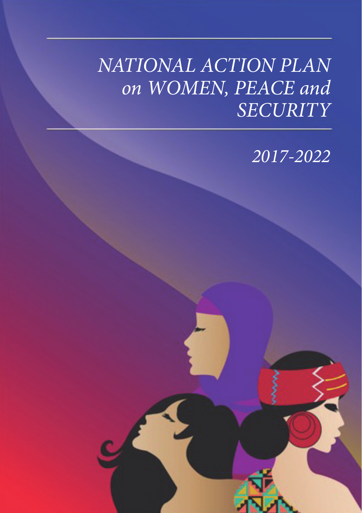# *NATIONAL ACTION PLAN on WOMEN, PEACE and SECURITY*

*2017-2022*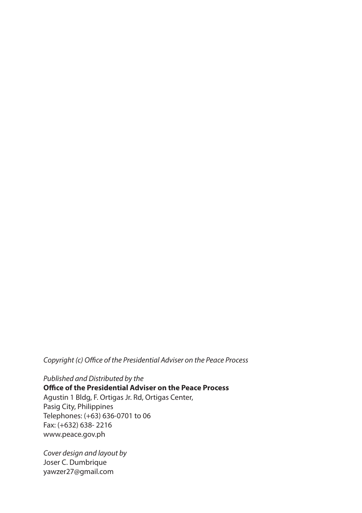*Copyright (c) Office of the Presidential Adviser on the Peace Process*

*Published and Distributed by the* **Office of the Presidential Adviser on the Peace Process**  Agustin 1 Bldg, F. Ortigas Jr. Rd, Ortigas Center, Pasig City, Philippines Telephones: (+63) 636-0701 to 06 Fax: (+632) 638- 2216 www.peace.gov.ph

*Cover design and layout by* Joser C. Dumbrique yawzer27@gmail.com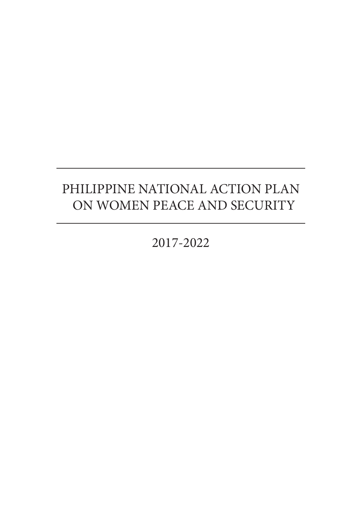# PHILIPPINE NATIONAL ACTION PLAN ON WOMEN PEACE AND SECURITY

2017-2022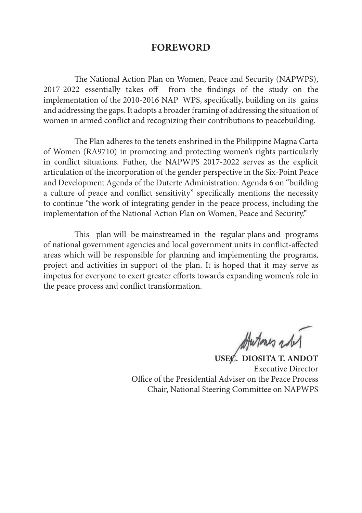# **FOREWORD**

The National Action Plan on Women, Peace and Security (NAPWPS), 2017-2022 essentially takes off from the findings of the study on the implementation of the 2010-2016 NAP WPS, specifically, building on its gains and addressing the gaps. It adopts a broader framing of addressing the situation of women in armed conflict and recognizing their contributions to peacebuilding.

The Plan adheres to the tenets enshrined in the Philippine Magna Carta of Women (RA9710) in promoting and protecting women's rights particularly in conflict situations. Futher, the NAPWPS 2017-2022 serves as the explicit articulation of the incorporation of the gender perspective in the Six-Point Peace and Development Agenda of the Duterte Administration. Agenda 6 on "building a culture of peace and conflict sensitivity" specifically mentions the necessity to continue "the work of integrating gender in the peace process, including the implementation of the National Action Plan on Women, Peace and Security."

This plan will be mainstreamed in the regular plans and programs of national government agencies and local government units in conflict-affected areas which will be responsible for planning and implementing the programs, project and activities in support of the plan. It is hoped that it may serve as impetus for everyone to exert greater efforts towards expanding women's role in the peace process and conflict transformation.

**USEC. DIOSITA T. ANDOT**

Executive Director Office of the Presidential Adviser on the Peace Process Chair, National Steering Committee on NAPWPS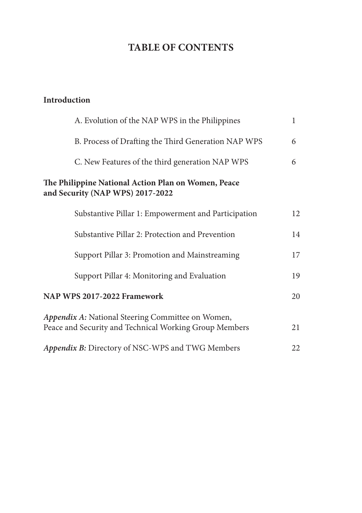# **TABLE OF CONTENTS**

# **Introduction**

| A. Evolution of the NAP WPS in the Philippines                                                              | 1  |
|-------------------------------------------------------------------------------------------------------------|----|
| B. Process of Drafting the Third Generation NAP WPS                                                         | 6  |
| C. New Features of the third generation NAP WPS                                                             | 6  |
| The Philippine National Action Plan on Women, Peace<br>and Security (NAP WPS) 2017-2022                     |    |
| Substantive Pillar 1: Empowerment and Participation                                                         | 12 |
| Substantive Pillar 2: Protection and Prevention                                                             | 14 |
| Support Pillar 3: Promotion and Mainstreaming                                                               | 17 |
| Support Pillar 4: Monitoring and Evaluation                                                                 | 19 |
| NAP WPS 2017-2022 Framework                                                                                 | 20 |
| Appendix A: National Steering Committee on Women,<br>Peace and Security and Technical Working Group Members | 21 |
| Appendix B: Directory of NSC-WPS and TWG Members                                                            | 22 |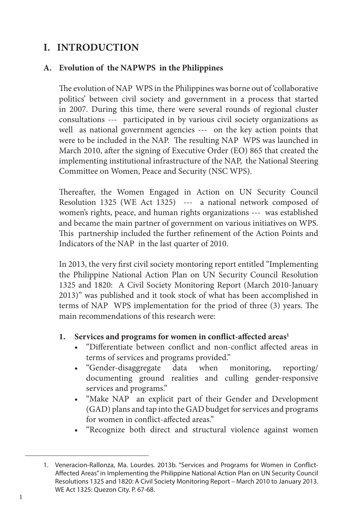# **I. INTRODUCTION**

# **A. Evolution of the NAPWPS in the Philippines**

The evolution of NAP WPS in the Philippines was borne out of 'collaborative politics' between civil society and government in a process that started in 2007. During this time, there were several rounds of regional cluster consultations --- participated in by various civil society organizations as well as national government agencies --- on the key action points that were to be included in the NAP. The resulting NAP WPS was launched in March 2010, after the signing of Executive Order (EO) 865 that created the implementing institutional infrastructure of the NAP, the National Steering Committee on Women, Peace and Security (NSC WPS).

Thereafter, the Women Engaged in Action on UN Security Council Resolution 1325 (WE Act 1325) --- a national network composed of women's rights, peace, and human rights organizations --- was established and became the main partner of government on various initiatives on WPS. This partnership included the further refinement of the Action Points and Indicators of the NAP in the last quarter of 2010.

In 2013, the very first civil society montoring report entitled "Implementing the Philippine National Action Plan on UN Security Council Resolution 1325 and 1820: A Civil Society Monitoring Report (March 2010-January 2013)" was published and it took stock of what has been accomplished in terms of NAP WPS implementation for the priod of three (3) years. The main recommendations of this research were:

# 1. Services and programs for women in conflict-affected areas<sup>1</sup>

- "Differentiate between conflict and non-conflict affected areas in terms of services and programs provided."
- "Gender-disaggregate data when monitoring, reporting/ documenting ground realities and culling gender-responsive services and programs."
- "Make NAP an explicit part of their Gender and Development (GAD) plans and tap into the GAD budget for services and programs for women in conflict-affected areas."
- "Recognize both direct and structural violence against women

<sup>1.</sup> Veneracion-Rallonza, Ma. Lourdes. 2013b. "Services and Programs for Women in Conflict-Affected Areas" in Implementing the Philippine National Action Plan on UN Security Council Resolutions 1325 and 1820: A Civil Society Monitoring Report – March 2010 to January 2013. WE Act 1325: Quezon City. P. 67-68.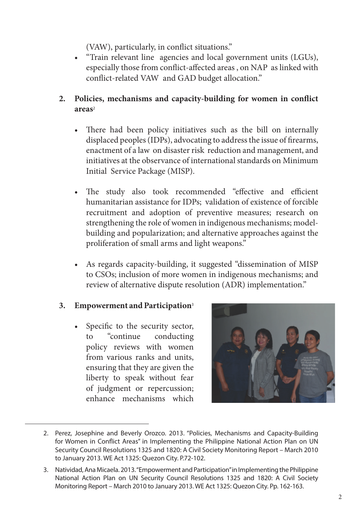(VAW), particularly, in conflict situations."

- "Train relevant line agencies and local government units (LGUs), especially those from conflict-affected areas , on NAP as linked with conflict-related VAW and GAD budget allocation."
- **2. Policies, mechanisms and capacity-building for women in conflict areas**<sup>2</sup>
	- There had been policy initiatives such as the bill on internally displaced peoples (IDPs), advocating to address the issue of firearms, enactment of a law on disaster risk reduction and management, and initiatives at the observance of international standards on Minimum Initial Service Package (MISP).
	- The study also took recommended "effective and efficient humanitarian assistance for IDPs; validation of existence of forcible recruitment and adoption of preventive measures; research on strengthening the role of women in indigenous mechanisms; modelbuilding and popularization; and alternative approaches against the proliferation of small arms and light weapons."
	- As regards capacity-building, it suggested "dissemination of MISP to CSOs; inclusion of more women in indigenous mechanisms; and review of alternative dispute resolution (ADR) implementation."

### **3. Empowerment and Participation**<sup>3</sup>

• Specific to the security sector, to "continue conducting policy reviews with women from various ranks and units, ensuring that they are given the liberty to speak without fear of judgment or repercussion; enhance mechanisms which



<sup>2.</sup> Perez, Josephine and Beverly Orozco. 2013. "Policies, Mechanisms and Capacity-Building for Women in Conflict Areas" in Implementing the Philippine National Action Plan on UN Security Council Resolutions 1325 and 1820: A Civil Society Monitoring Report – March 2010 to January 2013. WE Act 1325: Quezon City. P.72-102.

<sup>3.</sup> Natividad, Ana Micaela. 2013. "Empowerment and Participation" in Implementing the Philippine National Action Plan on UN Security Council Resolutions 1325 and 1820: A Civil Society Monitoring Report – March 2010 to January 2013. WE Act 1325: Quezon City. Pp. 162-163.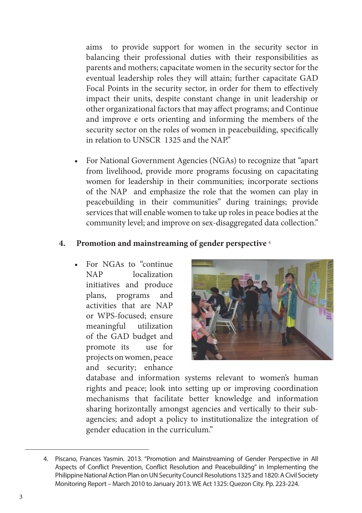aims to provide support for women in the security sector in balancing their professional duties with their responsibilities as parents and mothers; capacitate women in the security sector for the eventual leadership roles they will attain; further capacitate GAD Focal Points in the security sector, in order for them to effectively impact their units, despite constant change in unit leadership or other organizational factors that may affect programs; and Continue and improve e orts orienting and informing the members of the security sector on the roles of women in peacebuilding, specifically in relation to UNSCR 1325 and the NAP"

• For National Government Agencies (NGAs) to recognize that "apart from livelihood, provide more programs focusing on capacitating women for leadership in their communities; incorporate sections of the NAP and emphasize the role that the women can play in peacebuilding in their communities" during trainings; provide services that will enable women to take up roles in peace bodies at the community level; and improve on sex-disaggregated data collection."

# **4. Promotion and mainstreaming of gender perspective** <sup>4</sup>

• For NGAs to "continue NAP localization initiatives and produce plans, programs and activities that are NAP or WPS-focused; ensure meaningful utilization of the GAD budget and promote its use for projects on women, peace and security; enhance



database and information systems relevant to women's human rights and peace; look into setting up or improving coordination mechanisms that facilitate better knowledge and information sharing horizontally amongst agencies and vertically to their subagencies; and adopt a policy to institutionalize the integration of gender education in the curriculum."

<sup>4.</sup> Piscano, Frances Yasmin. 2013. "Promotion and Mainstreaming of Gender Perspective in All Aspects of Conflict Prevention, Conflict Resolution and Peacebuilding" in Implementing the Philippine National Action Plan on UN Security Council Resolutions 1325 and 1820: A Civil Society Monitoring Report – March 2010 to January 2013. WE Act 1325: Quezon City. Pp. 223-224.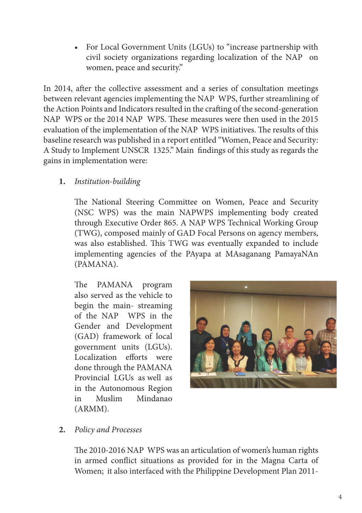• For Local Government Units (LGUs) to "increase partnership with civil society organizations regarding localization of the NAP on women, peace and security."

In 2014, after the collective assessment and a series of consultation meetings between relevant agencies implementing the NAP WPS, further streamlining of the Action Points and Indicators resulted in the crafting of the second-generation NAP WPS or the 2014 NAP WPS. These measures were then used in the 2015 evaluation of the implementation of the NAP WPS initiatives. The results of this baseline research was published in a report entitled "Women, Peace and Security: A Study to Implement UNSCR 1325." Main findings of this study as regards the gains in implementation were:

**1.** *Institution-building*

The National Steering Committee on Women, Peace and Security (NSC WPS) was the main NAPWPS implementing body created through Executive Order 865. A NAP WPS Technical Working Group (TWG), composed mainly of GAD Focal Persons on agency members, was also established. This TWG was eventually expanded to include implementing agencies of the PAyapa at MAsaganang PamayaNAn (PAMANA).

The PAMANA program also served as the vehicle to begin the main- streaming of the NAP WPS in the Gender and Development (GAD) framework of local government units (LGUs). Localization efforts were done through the PAMANA Provincial LGUs as well as in the Autonomous Region in Muslim Mindanao (ARMM).



### **2.** *Policy and Processes*

The 2010-2016 NAP WPS was an articulation of women's human rights in armed conflict situations as provided for in the Magna Carta of Women; it also interfaced with the Philippine Development Plan 2011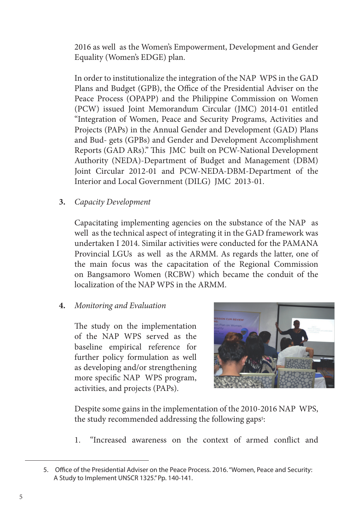2016 as well as the Women's Empowerment, Development and Gender Equality (Women's EDGE) plan.

In order to institutionalize the integration of the NAP WPS in the GAD Plans and Budget (GPB), the Office of the Presidential Adviser on the Peace Process (OPAPP) and the Philippine Commission on Women (PCW) issued Joint Memorandum Circular (JMC) 2014-01 entitled "Integration of Women, Peace and Security Programs, Activities and Projects (PAPs) in the Annual Gender and Development (GAD) Plans and Bud- gets (GPBs) and Gender and Development Accomplishment Reports (GAD ARs)." This JMC built on PCW-National Development Authority (NEDA)-Department of Budget and Management (DBM) Joint Circular 2012-01 and PCW-NEDA-DBM-Department of the Interior and Local Government (DILG) JMC 2013-01.

**3.** *Capacity Development*

Capacitating implementing agencies on the substance of the NAP as well as the technical aspect of integrating it in the GAD framework was undertaken I 2014. Similar activities were conducted for the PAMANA Provincial LGUs as well as the ARMM. As regards the latter, one of the main focus was the capacitation of the Regional Commission on Bangsamoro Women (RCBW) which became the conduit of the localization of the NAP WPS in the ARMM.

# **4.** *Monitoring and Evaluation*

The study on the implementation of the NAP WPS served as the baseline empirical reference for further policy formulation as well as developing and/or strengthening more specific NAP WPS program, activities, and projects (PAPs).



Despite some gains in the implementation of the 2010-2016 NAP WPS, the study recommended addressing the following gaps<sup>5</sup>:

1. "Increased awareness on the context of armed conflict and

<sup>5.</sup> Office of the Presidential Adviser on the Peace Process. 2016. "Women, Peace and Security: A Study to Implement UNSCR 1325." Pp. 140-141.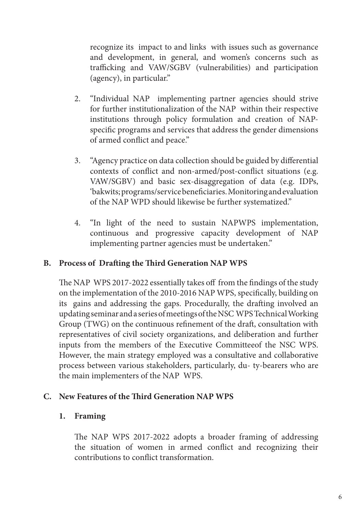recognize its impact to and links with issues such as governance and development, in general, and women's concerns such as trafficking and VAW/SGBV (vulnerabilities) and participation (agency), in particular."

- 2. "Individual NAP implementing partner agencies should strive for further institutionalization of the NAP within their respective institutions through policy formulation and creation of NAPspecific programs and services that address the gender dimensions of armed conflict and peace."
- 3. "Agency practice on data collection should be guided by differential contexts of conflict and non-armed/post-conflict situations (e.g. VAW/SGBV) and basic sex-disaggregation of data (e.g. IDPs, 'bakwits; programs/service beneficiaries. Monitoring and evaluation of the NAP WPD should likewise be further systematized."
- 4. "In light of the need to sustain NAPWPS implementation, continuous and progressive capacity development of NAP implementing partner agencies must be undertaken."

# **B. Process of Drafting the Third Generation NAP WPS**

The NAP WPS 2017-2022 essentially takes off from the findings of the study on the implementation of the 2010-2016 NAP WPS, specifically, building on its gains and addressing the gaps. Procedurally, the drafting involved an updating seminar and a series of meetings of the NSC WPS Technical Working Group (TWG) on the continuous refinement of the draft, consultation with representatives of civil society organizations, and deliberation and further inputs from the members of the Executive Committeeof the NSC WPS. However, the main strategy employed was a consultative and collaborative process between various stakeholders, particularly, du- ty-bearers who are the main implementers of the NAP WPS.

# **C. New Features of the Third Generation NAP WPS**

# **1. Framing**

The NAP WPS 2017-2022 adopts a broader framing of addressing the situation of women in armed conflict and recognizing their contributions to conflict transformation.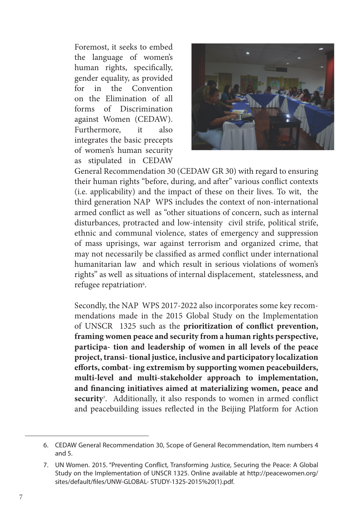Foremost, it seeks to embed the language of women's human rights, specifically, gender equality, as provided for in the Convention on the Elimination of all forms of Discrimination against Women (CEDAW). Furthermore, it also integrates the basic precepts of women's human security as stipulated in CEDAW



General Recommendation 30 (CEDAW GR 30) with regard to ensuring their human rights "before, during, and after" various conflict contexts (i.e. applicability) and the impact of these on their lives. To wit, the third generation NAP WPS includes the context of non-international armed conflict as well as "other situations of concern, such as internal disturbances, protracted and low-intensity civil strife, political strife, ethnic and communal violence, states of emergency and suppression of mass uprisings, war against terrorism and organized crime, that may not necessarily be classified as armed conflict under international humanitarian law and which result in serious violations of women's rights" as well as situations of internal displacement, statelessness, and refugee repatriation<sup>6</sup>.

Secondly, the NAP WPS 2017-2022 also incorporates some key recommendations made in the 2015 Global Study on the Implementation of UNSCR 1325 such as the **prioritization of conflict prevention, framing women peace and security from a human rights perspective, participa- tion and leadership of women in all levels of the peace project, transi- tional justice, inclusive and participatory localization efforts, combat- ing extremism by supporting women peacebuilders, multi-level and multi-stakeholder approach to implementation, and financing initiatives aimed at materializing women, peace and security**<sup>7</sup> . Additionally, it also responds to women in armed conflict and peacebuilding issues reflected in the Beijing Platform for Action

<sup>6.</sup> CEDAW General Recommendation 30, Scope of General Recommendation, Item numbers 4 and 5.

<sup>7.</sup> UN Women. 2015. "Preventing Conflict, Transforming Justice, Securing the Peace: A Global Study on the Implementation of UNSCR 1325. Online available at http://peacewomen.org/ sites/default/files/UNW-GLOBAL- STUDY-1325-2015%20(1).pdf.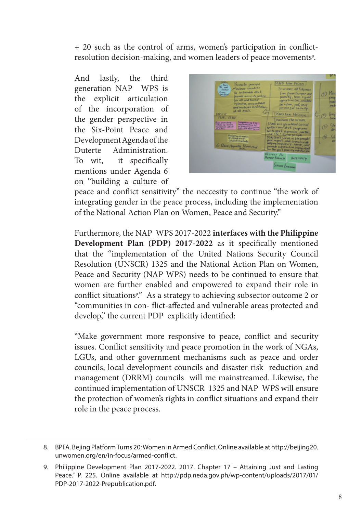+ 20 such as the control of arms, women's participation in conflictresolution decision-making, and women leaders of peace movements8.

And lastly, the third generation NAP WPS is the explicit articulation of the incorporation of the gender perspective in the Six-Point Peace and Development Agenda of the Duterte Administration. To wit, it specifically mentions under Agenda 6 on "building a culture of



peace and conflict sensitivity" the neccesity to continue "the work of integrating gender in the peace process, including the implementation of the National Action Plan on Women, Peace and Security."

Furthermore, the NAP WPS 2017-2022 **interfaces with the Philippine Development Plan (PDP) 2017-2022** as it specifically mentioned that the "implementation of the United Nations Security Council Resolution (UNSCR) 1325 and the National Action Plan on Women, Peace and Security (NAP WPS) needs to be continued to ensure that women are further enabled and empowered to expand their role in conflict situations<sup>9</sup> ." As a strategy to achieving subsector outcome 2 or "communities in con- flict-affected and vulnerable areas protected and develop," the current PDP explicitly identified:

"Make government more responsive to peace, conflict and security issues. Conflict sensitivity and peace promotion in the work of NGAs, LGUs, and other government mechanisms such as peace and order councils, local development councils and disaster risk reduction and management (DRRM) councils will me mainstreamed. Likewise, the continued implementation of UNSCR 1325 and NAP WPS will ensure the protection of women's rights in conflict situations and expand their role in the peace process.

<sup>8.</sup> BPFA. Bejing Platform Turns 20: Women in Armed Conflict. Online available at http://beijing20. unwomen.org/en/in-focus/armed-conflict.

<sup>9.</sup> Philippine Development Plan 2017-2022. 2017. Chapter 17 – Attaining Just and Lasting Peace." P. 225. Online available at http://pdp.neda.gov.ph/wp-content/uploads/2017/01/ PDP-2017-2022-Prepublication.pdf.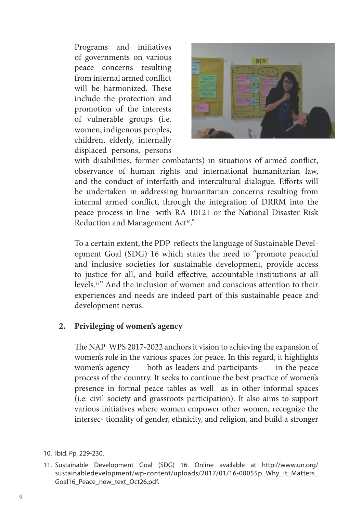Programs and initiatives of governments on various peace concerns resulting from internal armed conflict will be harmonized. These include the protection and promotion of the interests of vulnerable groups (i.e. women, indigenous peoples, children, elderly, internally displaced persons, persons



with disabilities, former combatants) in situations of armed conflict, observance of human rights and international humanitarian law, and the conduct of interfaith and intercultural dialogue. Efforts will be undertaken in addressing humanitarian concerns resulting from internal armed conflict, through the integration of DRRM into the peace process in line with RA 10121 or the National Disaster Risk Reduction and Management Act<sup>10</sup>."

To a certain extent, the PDP reflects the language of Sustainable Development Goal (SDG) 16 which states the need to "promote peaceful and inclusive societies for sustainable development, provide access to justice for all, and build effective, accountable institutions at all levels.11" And the inclusion of women and conscious attention to their experiences and needs are indeed part of this sustainable peace and development nexus.

### **2. Privileging of women's agency**

The NAP WPS 2017-2022 anchors it vision to achieving the expansion of women's role in the various spaces for peace. In this regard, it highlights women's agency --- both as leaders and participants --- in the peace process of the country. It seeks to continue the best practice of women's presence in formal peace tables as well as in other informal spaces (i.e. civil society and grassroots participation). It also aims to support various initiatives where women empower other women, recognize the intersec- tionality of gender, ethnicity, and religion, and build a stronger

<sup>10.</sup> Ibid. Pp. 229-230.

<sup>11.</sup> Sustainable Development Goal (SDG) 16. Online available at http://www.un.org/ sustainabledevelopment/wp-content/uploads/2017/01/16-00055p\_Why\_it\_Matters\_ Goal16 Peace new text Oct26.pdf.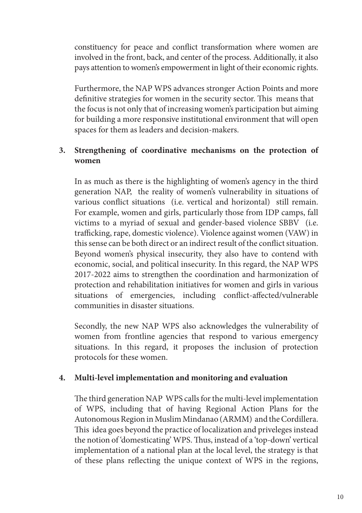constituency for peace and conflict transformation where women are involved in the front, back, and center of the process. Additionally, it also pays attention to women's empowerment in light of their economic rights.

Furthermore, the NAP WPS advances stronger Action Points and more definitive strategies for women in the security sector. This means that the focus is not only that of increasing women's participation but aiming for building a more responsive institutional environment that will open spaces for them as leaders and decision-makers.

# **3. Strengthening of coordinative mechanisms on the protection of women**

In as much as there is the highlighting of women's agency in the third generation NAP, the reality of women's vulnerability in situations of various conflict situations (i.e. vertical and horizontal) still remain. For example, women and girls, particularly those from IDP camps, fall victims to a myriad of sexual and gender-based violence SBBV (i.e. trafficking, rape, domestic violence). Violence against women (VAW) in this sense can be both direct or an indirect result of the conflict situation. Beyond women's physical insecurity, they also have to contend with economic, social, and political insecurity. In this regard, the NAP WPS 2017-2022 aims to strengthen the coordination and harmonization of protection and rehabilitation initiatives for women and girls in various situations of emergencies, including conflict-affected/vulnerable communities in disaster situations.

Secondly, the new NAP WPS also acknowledges the vulnerability of women from frontline agencies that respond to various emergency situations. In this regard, it proposes the inclusion of protection protocols for these women.

# **4. Multi-level implementation and monitoring and evaluation**

The third generation NAP WPS calls for the multi-level implementation of WPS, including that of having Regional Action Plans for the Autonomous Region in Muslim Mindanao (ARMM) and the Cordillera. This idea goes beyond the practice of localization and priveleges instead the notion of 'domesticating' WPS. Thus, instead of a 'top-down' vertical implementation of a national plan at the local level, the strategy is that of these plans reflecting the unique context of WPS in the regions,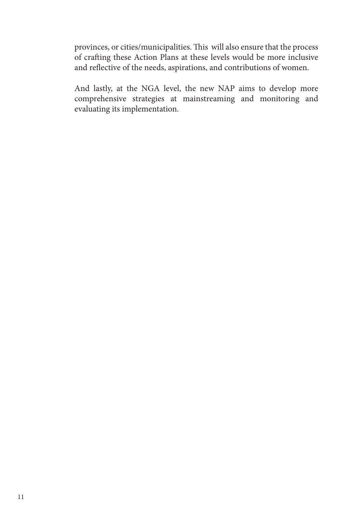provinces, or cities/municipalities. This will also ensure that the process of crafting these Action Plans at these levels would be more inclusive and reflective of the needs, aspirations, and contributions of women.

And lastly, at the NGA level, the new NAP aims to develop more comprehensive strategies at mainstreaming and monitoring and evaluating its implementation.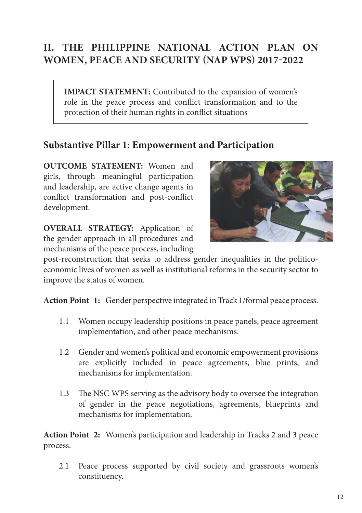# **II. THE PHILIPPINE NATIONAL ACTION PLAN ON WOMEN, PEACE AND SECURITY (NAP WPS) 2017-2022**

**IMPACT STATEMENT:** Contributed to the expansion of women's role in the peace process and conflict transformation and to the protection of their human rights in conflict situations

# **Substantive Pillar 1: Empowerment and Participation**

**OUTCOME STATEMENT:** Women and girls, through meaningful participation and leadership, are active change agents in conflict transformation and post-conflict development.

**OVERALL STRATEGY:** Application of the gender approach in all procedures and mechanisms of the peace process, including



post-reconstruction that seeks to address gender inequalities in the politicoeconomic lives of women as well as institutional reforms in the security sector to improve the status of women.

**Action Point 1:** Gender perspective integrated in Track 1/formal peace process.

- 1.1 Women occupy leadership positions in peace panels, peace agreement implementation, and other peace mechanisms.
- 1.2 Gender and women's political and economic empowerment provisions are explicitly included in peace agreements, blue prints, and mechanisms for implementation.
- 1.3 The NSC WPS serving as the advisory body to oversee the integration of gender in the peace negotiations, agreements, blueprints and mechanisms for implementation.

**Action Point 2:** Women's participation and leadership in Tracks 2 and 3 peace process.

2.1 Peace process supported by civil society and grassroots women's constituency.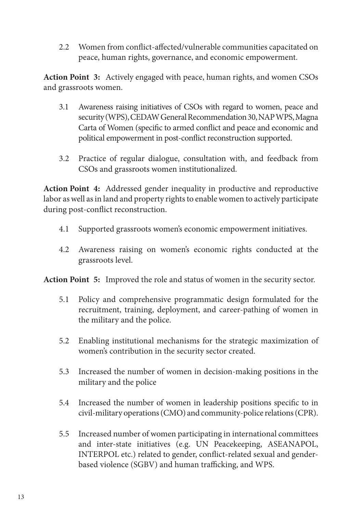2.2 Women from conflict-affected/vulnerable communities capacitated on peace, human rights, governance, and economic empowerment.

**Action Point 3:** Actively engaged with peace, human rights, and women CSOs and grassroots women.

- 3.1 Awareness raising initiatives of CSOs with regard to women, peace and security (WPS), CEDAW General Recommendation 30, NAP WPS, Magna Carta of Women (specific to armed conflict and peace and economic and political empowerment in post-conflict reconstruction supported.
- 3.2 Practice of regular dialogue, consultation with, and feedback from CSOs and grassroots women institutionalized.

**Action Point 4:** Addressed gender inequality in productive and reproductive labor as well as in land and property rights to enable women to actively participate during post-conflict reconstruction.

- 4.1 Supported grassroots women's economic empowerment initiatives.
- 4.2 Awareness raising on women's economic rights conducted at the grassroots level.

**Action Point 5:** Improved the role and status of women in the security sector.

- 5.1 Policy and comprehensive programmatic design formulated for the recruitment, training, deployment, and career-pathing of women in the military and the police.
- 5.2 Enabling institutional mechanisms for the strategic maximization of women's contribution in the security sector created.
- 5.3 Increased the number of women in decision-making positions in the military and the police
- 5.4 Increased the number of women in leadership positions specific to in civil-military operations (CMO) and community-police relations (CPR).
- 5.5 Increased number of women participating in international committees and inter-state initiatives (e.g. UN Peacekeeping, ASEANAPOL, INTERPOL etc.) related to gender, conflict-related sexual and genderbased violence (SGBV) and human trafficking, and WPS.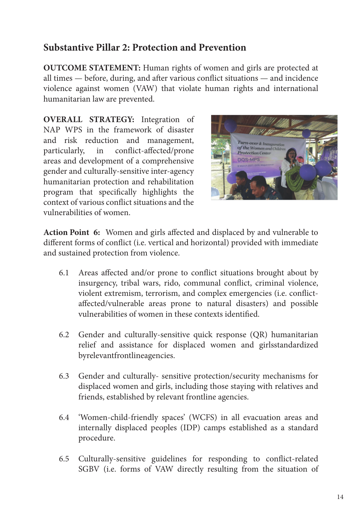# **Substantive Pillar 2: Protection and Prevention**

**OUTCOME STATEMENT:** Human rights of women and girls are protected at all times — before, during, and after various conflict situations — and incidence violence against women (VAW) that violate human rights and international humanitarian law are prevented.

**OVERALL STRATEGY:** Integration of NAP WPS in the framework of disaster and risk reduction and management, particularly, in conflict-affected/prone areas and development of a comprehensive gender and culturally-sensitive inter-agency humanitarian protection and rehabilitation program that specifically highlights the context of various conflict situations and the vulnerabilities of women.



**Action Point 6:** Women and girls affected and displaced by and vulnerable to different forms of conflict (i.e. vertical and horizontal) provided with immediate and sustained protection from violence.

- 6.1 Areas affected and/or prone to conflict situations brought about by insurgency, tribal wars, rido, communal conflict, criminal violence, violent extremism, terrorism, and complex emergencies (i.e. conflictaffected/vulnerable areas prone to natural disasters) and possible vulnerabilities of women in these contexts identified.
- 6.2 Gender and culturally-sensitive quick response (QR) humanitarian relief and assistance for displaced women and girlsstandardized byrelevantfrontlineagencies.
- 6.3 Gender and culturally- sensitive protection/security mechanisms for displaced women and girls, including those staying with relatives and friends, established by relevant frontline agencies.
- 6.4 'Women-child-friendly spaces' (WCFS) in all evacuation areas and internally displaced peoples (IDP) camps established as a standard procedure.
- 6.5 Culturally-sensitive guidelines for responding to conflict-related SGBV (i.e. forms of VAW directly resulting from the situation of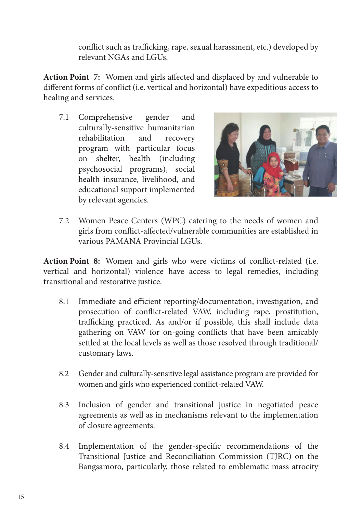conflict such as trafficking, rape, sexual harassment, etc.) developed by relevant NGAs and LGUs.

**Action Point 7:** Women and girls affected and displaced by and vulnerable to different forms of conflict (i.e. vertical and horizontal) have expeditious access to healing and services.

7.1 Comprehensive gender and culturally-sensitive humanitarian rehabilitation and recovery program with particular focus on shelter, health (including psychosocial programs), social health insurance, livelihood, and educational support implemented by relevant agencies.



7.2 Women Peace Centers (WPC) catering to the needs of women and girls from conflict-affected/vulnerable communities are established in various PAMANA Provincial LGUs.

**Action Point 8:** Women and girls who were victims of conflict-related (i.e. vertical and horizontal) violence have access to legal remedies, including transitional and restorative justice.

- 8.1 Immediate and efficient reporting/documentation, investigation, and prosecution of conflict-related VAW, including rape, prostitution, trafficking practiced. As and/or if possible, this shall include data gathering on VAW for on-going conflicts that have been amicably settled at the local levels as well as those resolved through traditional/ customary laws.
- 8.2 Gender and culturally-sensitive legal assistance program are provided for women and girls who experienced conflict-related VAW.
- 8.3 Inclusion of gender and transitional justice in negotiated peace agreements as well as in mechanisms relevant to the implementation of closure agreements.
- 8.4 Implementation of the gender-specific recommendations of the Transitional Justice and Reconciliation Commission (TJRC) on the Bangsamoro, particularly, those related to emblematic mass atrocity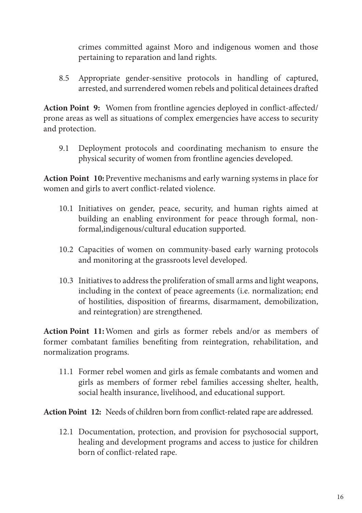crimes committed against Moro and indigenous women and those pertaining to reparation and land rights.

8.5 Appropriate gender-sensitive protocols in handling of captured, arrested, and surrendered women rebels and political detainees drafted

**Action Point 9:** Women from frontline agencies deployed in conflict-affected/ prone areas as well as situations of complex emergencies have access to security and protection.

9.1 Deployment protocols and coordinating mechanism to ensure the physical security of women from frontline agencies developed.

**Action Point 10:**Preventive mechanisms and early warning systems in place for women and girls to avert conflict-related violence.

- 10.1 Initiatives on gender, peace, security, and human rights aimed at building an enabling environment for peace through formal, nonformal,indigenous/cultural education supported.
- 10.2 Capacities of women on community-based early warning protocols and monitoring at the grassroots level developed.
- 10.3 Initiatives to address the proliferation of small arms and light weapons, including in the context of peace agreements (i.e. normalization; end of hostilities, disposition of firearms, disarmament, demobilization, and reintegration) are strengthened.

**Action Point 11:**Women and girls as former rebels and/or as members of former combatant families benefiting from reintegration, rehabilitation, and normalization programs.

11.1 Former rebel women and girls as female combatants and women and girls as members of former rebel families accessing shelter, health, social health insurance, livelihood, and educational support.

**Action Point 12:** Needs of children born from conflict-related rape are addressed.

12.1 Documentation, protection, and provision for psychosocial support, healing and development programs and access to justice for children born of conflict-related rape.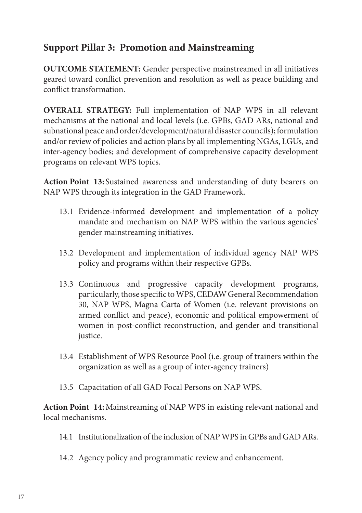# **Support Pillar 3: Promotion and Mainstreaming**

**OUTCOME STATEMENT:** Gender perspective mainstreamed in all initiatives geared toward conflict prevention and resolution as well as peace building and conflict transformation.

**OVERALL STRATEGY:** Full implementation of NAP WPS in all relevant mechanisms at the national and local levels (i.e. GPBs, GAD ARs, national and subnational peace and order/development/natural disaster councils); formulation and/or review of policies and action plans by all implementing NGAs, LGUs, and inter-agency bodies; and development of comprehensive capacity development programs on relevant WPS topics.

**Action Point 13:** Sustained awareness and understanding of duty bearers on NAP WPS through its integration in the GAD Framework.

- 13.1 Evidence-informed development and implementation of a policy mandate and mechanism on NAP WPS within the various agencies' gender mainstreaming initiatives.
- 13.2 Development and implementation of individual agency NAP WPS policy and programs within their respective GPBs.
- 13.3 Continuous and progressive capacity development programs, particularly, those specific to WPS, CEDAW General Recommendation 30, NAP WPS, Magna Carta of Women (i.e. relevant provisions on armed conflict and peace), economic and political empowerment of women in post-conflict reconstruction, and gender and transitional justice.
- 13.4 Establishment of WPS Resource Pool (i.e. group of trainers within the organization as well as a group of inter-agency trainers)
- 13.5 Capacitation of all GAD Focal Persons on NAP WPS.

**Action Point 14:**Mainstreaming of NAP WPS in existing relevant national and local mechanisms.

- 14.1 Institutionalization of the inclusion of NAP WPS in GPBs and GAD ARs.
- 14.2 Agency policy and programmatic review and enhancement.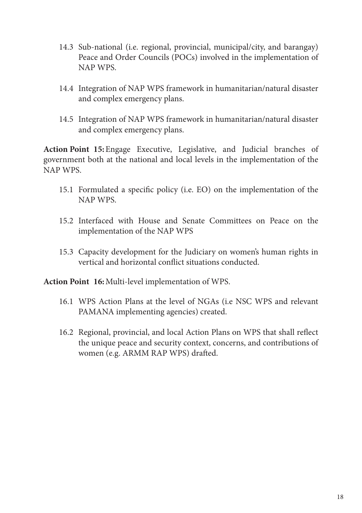- 14.3 Sub-national (i.e. regional, provincial, municipal/city, and barangay) Peace and Order Councils (POCs) involved in the implementation of NAP WPS.
- 14.4 Integration of NAP WPS framework in humanitarian/natural disaster and complex emergency plans.
- 14.5 Integration of NAP WPS framework in humanitarian/natural disaster and complex emergency plans.

**Action Point 15:**Engage Executive, Legislative, and Judicial branches of government both at the national and local levels in the implementation of the NAP WPS.

- 15.1 Formulated a specific policy (i.e. EO) on the implementation of the NAP WPS.
- 15.2 Interfaced with House and Senate Committees on Peace on the implementation of the NAP WPS
- 15.3 Capacity development for the Judiciary on women's human rights in vertical and horizontal conflict situations conducted.

**Action Point 16:**Multi-level implementation of WPS.

- 16.1 WPS Action Plans at the level of NGAs (i.e NSC WPS and relevant PAMANA implementing agencies) created.
- 16.2 Regional, provincial, and local Action Plans on WPS that shall reflect the unique peace and security context, concerns, and contributions of women (e.g. ARMM RAP WPS) drafted.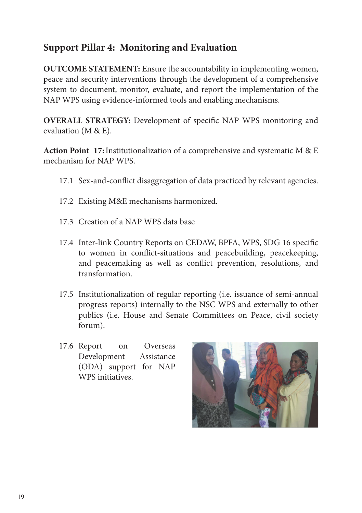# **Support Pillar 4: Monitoring and Evaluation**

**OUTCOME STATEMENT:** Ensure the accountability in implementing women, peace and security interventions through the development of a comprehensive system to document, monitor, evaluate, and report the implementation of the NAP WPS using evidence-informed tools and enabling mechanisms.

**OVERALL STRATEGY:** Development of specific NAP WPS monitoring and evaluation (M & E).

**Action Point 17:**Institutionalization of a comprehensive and systematic M & E mechanism for NAP WPS.

- 17.1 Sex-and-conflict disaggregation of data practiced by relevant agencies.
- 17.2 Existing M&E mechanisms harmonized.
- 17.3 Creation of a NAP WPS data base
- 17.4 Inter-link Country Reports on CEDAW, BPFA, WPS, SDG 16 specific to women in conflict-situations and peacebuilding, peacekeeping, and peacemaking as well as conflict prevention, resolutions, and transformation.
- 17.5 Institutionalization of regular reporting (i.e. issuance of semi-annual progress reports) internally to the NSC WPS and externally to other publics (i.e. House and Senate Committees on Peace, civil society forum).
- 17.6 Report on Overseas Development Assistance (ODA) support for NAP WPS initiatives.

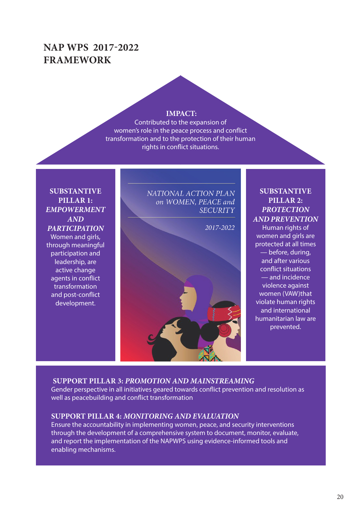# **NAP WPS 2017-2022 FRAMEWORK**

#### **IMPACT:**

Contributed to the expansion of women's role in the peace process and conflict transformation and to the protection of their human rights in conflict situations.

**SUBSTANTIVE PILLAR 1:**  *EMPOWERMENT AND PARTICIPATION* Women and girls, through meaningful participation and leadership, are active change agents in conflict transformation and post-conflict development.

NATIONAL ACTION PLAN on WOMEN, PEACE and **SECURITY** 

2017-2022



### **SUBSTANTIVE PILLAR 2:**  *PROTECTION AND PREVENTION*

Human rights of women and girls are protected at all times — before, during, and after various conflict situations — and incidence violence against women (VAW)that violate human rights and international humanitarian law are prevented.

#### **SUPPORT PILLAR 3:** *PROMOTION AND MAINSTREAMING*

Gender perspective in all initiatives geared towards conflict prevention and resolution as well as peacebuilding and conflict transformation

#### **SUPPORT PILLAR 4:** *MONITORING AND EVALUATION*

Ensure the accountability in implementing women, peace, and security interventions through the development of a comprehensive system to document, monitor, evaluate, and report the implementation of the NAPWPS using evidence-informed tools and enabling mechanisms.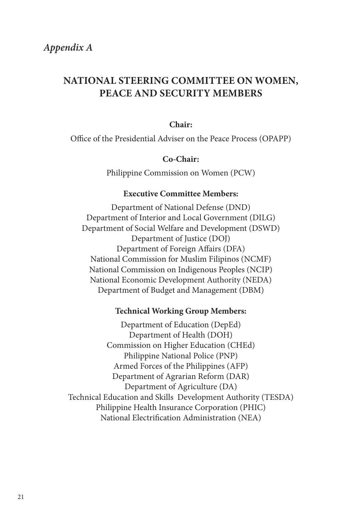# **NATIONAL STEERING COMMITTEE ON WOMEN, PEACE AND SECURITY MEMBERS**

#### **Chair:**

Office of the Presidential Adviser on the Peace Process (OPAPP)

#### **Co-Chair:**

Philippine Commission on Women (PCW)

#### **Executive Committee Members:**

Department of National Defense (DND) Department of Interior and Local Government (DILG) Department of Social Welfare and Development (DSWD) Department of Justice (DOJ) Department of Foreign Affairs (DFA) National Commission for Muslim Filipinos (NCMF) National Commission on Indigenous Peoples (NCIP) National Economic Development Authority (NEDA) Department of Budget and Management (DBM)

#### **Technical Working Group Members:**

Department of Education (DepEd) Department of Health (DOH) Commission on Higher Education (CHEd) Philippine National Police (PNP) Armed Forces of the Philippines (AFP) Department of Agrarian Reform (DAR) Department of Agriculture (DA) Technical Education and Skills Development Authority (TESDA) Philippine Health Insurance Corporation (PHIC) National Electrification Administration (NEA)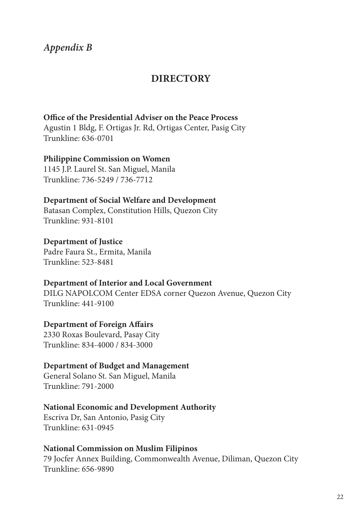# *Appendix B*

# **DIRECTORY**

#### **Office of the Presidential Adviser on the Peace Process**

Agustin 1 Bldg, F. Ortigas Jr. Rd, Ortigas Center, Pasig City Trunkline: 636-0701

### **Philippine Commission on Women**

1145 J.P. Laurel St. San Miguel, Manila Trunkline: 736-5249 / 736-7712

#### **Department of Social Welfare and Development**

Batasan Complex, Constitution Hills, Quezon City Trunkline: 931-8101

#### **Department of Justice**

Padre Faura St., Ermita, Manila Trunkline: 523-8481

#### **Department of Interior and Local Government**

DILG NAPOLCOM Center EDSA corner Quezon Avenue, Quezon City Trunkline: 441-9100

### **Department of Foreign Affairs**

2330 Roxas Boulevard, Pasay City Trunkline: 834-4000 / 834-3000

#### **Department of Budget and Management**

General Solano St. San Miguel, Manila Trunkline: 791-2000

#### **National Economic and Development Authority**

Escriva Dr, San Antonio, Pasig City Trunkline: 631-0945

#### **National Commission on Muslim Filipinos**

79 Jocfer Annex Building, Commonwealth Avenue, Diliman, Quezon City Trunkline: 656-9890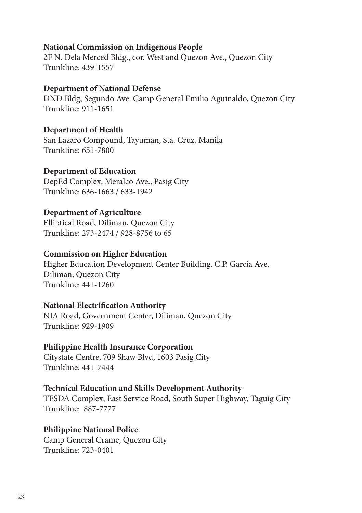### **National Commission on Indigenous People**

2F N. Dela Merced Bldg., cor. West and Quezon Ave., Quezon City Trunkline: 439-1557

### **Department of National Defense**

DND Bldg, Segundo Ave. Camp General Emilio Aguinaldo, Quezon City Trunkline: 911-1651

### **Department of Health**

San Lazaro Compound, Tayuman, Sta. Cruz, Manila Trunkline: 651-7800

### **Department of Education**

DepEd Complex, Meralco Ave., Pasig City Trunkline: 636-1663 / 633-1942

# **Department of Agriculture**

Elliptical Road, Diliman, Quezon City Trunkline: 273-2474 / 928-8756 to 65

# **Commission on Higher Education**

Higher Education Development Center Building, C.P. Garcia Ave, Diliman, Quezon City Trunkline: 441-1260

### **National Electrification Authority**

NIA Road, Government Center, Diliman, Quezon City Trunkline: 929-1909

# **Philippine Health Insurance Corporation**

Citystate Centre, 709 Shaw Blvd, 1603 Pasig City Trunkline: 441-7444

### **Technical Education and Skills Development Authority**

TESDA Complex, East Service Road, South Super Highway, Taguig City Trunkline: 887-7777

# **Philippine National Police**

Camp General Crame, Quezon City Trunkline: 723-0401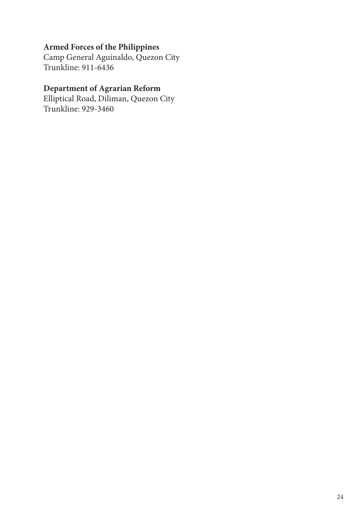# **Armed Forces of the Philippines**

Camp General Aguinaldo, Quezon City Trunkline: 911-6436

# **Department of Agrarian Reform**

Elliptical Road, Diliman, Quezon City Trunkline: 929-3460